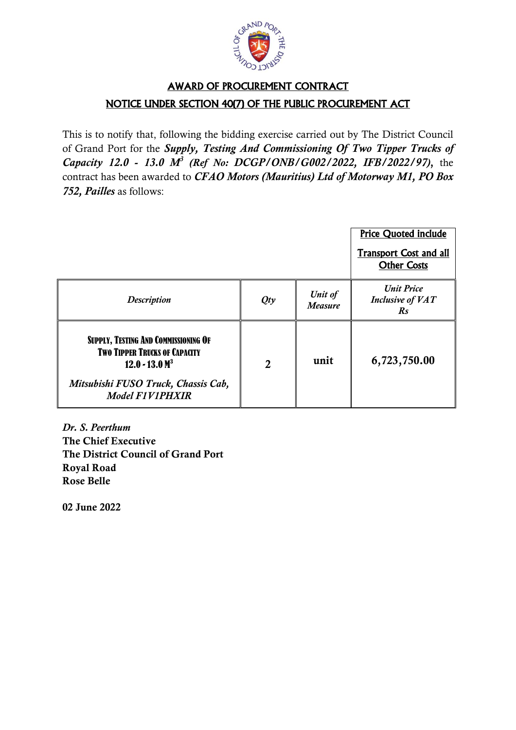

## AWARD OF PROCUREMENT CONTRACT NOTICE UNDER SECTION 40(7) OF THE PUBLIC PROCUREMENT ACT

This is to notify that, following the bidding exercise carried out by The District Council of Grand Port for the *Supply, Testing And Commissioning Of Two Tipper Trucks of Capacity 12.0 - 13.0 M<sup>3</sup> (Ref No: DCGP/ONB/G002/2022, IFB/2022/97)***,** the contract has been awarded to *CFAO Motors (Mauritius) Ltd of Motorway M1, PO Box 752, Pailles* as follows:

|                                                                                                                                                                            |                |                           | <b>Price Quoted include</b>                                    |
|----------------------------------------------------------------------------------------------------------------------------------------------------------------------------|----------------|---------------------------|----------------------------------------------------------------|
|                                                                                                                                                                            |                |                           | <b>Transport Cost and all</b><br><b>Other Costs</b>            |
| <b>Description</b>                                                                                                                                                         | Qty            | Unit of<br><b>Measure</b> | <b>Unit Price</b><br><b>Inclusive of VAT</b><br>$\mathbb{R}^S$ |
| <b>SUPPLY, TESTING AND COMMISSIONING OF</b><br><b>TWO TIPPER TRUCKS OF CAPACITY</b><br>$12.0 - 13.0$ $M3$<br>Mitsubishi FUSO Truck, Chassis Cab,<br><b>Model F1V1PHXIR</b> | $\overline{2}$ | unit                      | 6,723,750.00                                                   |

*Dr. S. Peerthum*  **The Chief Executive The District Council of Grand Port Royal Road Rose Belle**

**02 June 2022**